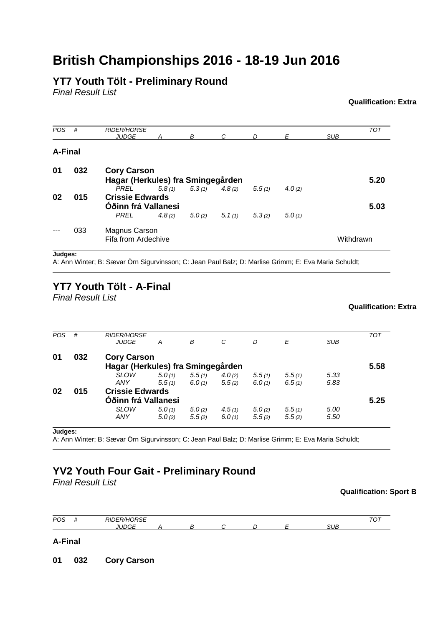# **British Championships 2016 - 18-19 Jun 2016**

## **YT7 Youth Tölt - Preliminary Round**

*Final Result List*

### **Qualification: Extra**

| <b>POS</b> | #   | <b>RIDER/HORSE</b><br><b>JUDGE</b>                      | А      | В | C                 | D      | F         | <b>SUB</b> | <b>TOT</b> |  |
|------------|-----|---------------------------------------------------------|--------|---|-------------------|--------|-----------|------------|------------|--|
| A-Final    |     |                                                         |        |   |                   |        |           |            |            |  |
| 01         | 032 | <b>Cory Carson</b><br>Hagar (Herkules) fra Smingegården |        |   |                   |        |           |            | 5.20       |  |
|            |     | <b>PREL</b>                                             | 5.8(1) |   | $5.3(1)$ $4.8(2)$ | 5.5(1) | 4.0 $(2)$ |            |            |  |
| 02         | 015 | <b>Crissie Edwards</b><br>Óðinn frá Vallanesi           |        |   |                   |        |           |            |            |  |
|            |     | <b>PREL</b>                                             | 4.8(2) |   | $5.0(2)$ $5.1(1)$ | 5.3(2) | 5.0(1)    |            |            |  |
|            | 033 | Magnus Carson<br>Fifa from Ardechive                    |        |   |                   |        |           | Withdrawn  |            |  |

**Judges:**

A: Ann Winter; B: Sævar Örn Sigurvinsson; C: Jean Paul Balz; D: Marlise Grimm; E: Eva Maria Schuldt;

## **YT7 Youth Tölt - A-Final**

*Final Result List*

### **Qualification: Extra**

| <b>POS</b> | #   | <b>RIDER/HORSE</b>                |        |        |        |        |        |            | <b>TOT</b> |
|------------|-----|-----------------------------------|--------|--------|--------|--------|--------|------------|------------|
|            |     | <b>JUDGE</b>                      | А      | В      | C      | D      | F      | <b>SUB</b> |            |
| 01         | 032 | <b>Cory Carson</b>                |        |        |        |        |        |            |            |
|            |     | Hagar (Herkules) fra Smingegården |        |        |        |        |        |            | 5.58       |
|            |     | <b>SLOW</b>                       | 5.0(1) | 5.5(1) | 4.0(2) | 5.5(1) | 5.5(1) | 5.33       |            |
|            |     | ANY                               | 5.5(1) | 6.0(1) | 5.5(2) | 6.0(1) | 6.5(1) | 5.83       |            |
| 02         | 015 | <b>Crissie Edwards</b>            |        |        |        |        |        |            |            |
|            |     | Óðinn frá Vallanesi               |        |        |        |        |        |            | 5.25       |
|            |     | <b>SLOW</b>                       | 5.0(1) | 5.0(2) | 4.5(1) | 5.0(2) | 5.5(1) | 5.00       |            |
|            |     | ANY                               | 5.0(2) | 5.5(2) | 6.0(1) | 5.5(2) | 5.5(2) | 5.50       |            |

A: Ann Winter; B: Sævar Örn Sigurvinsson; C: Jean Paul Balz; D: Marlise Grimm; E: Eva Maria Schuldt;

# **YV2 Youth Four Gait - Preliminary Round**

*Final Result List*

### **Qualification: Sport B**



### **A-Final**

**01 032 Cory Carson**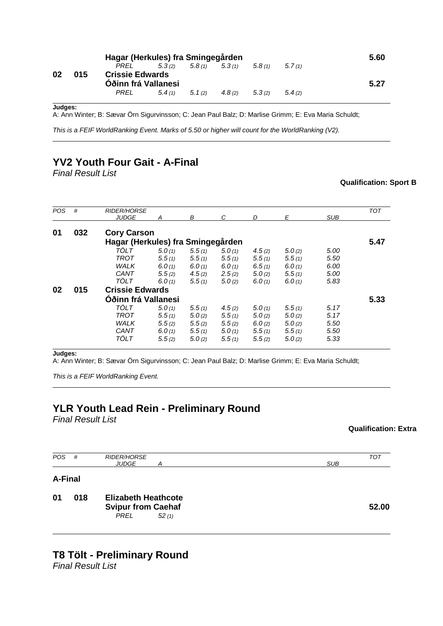|    | Hagar (Herkules) fra Smingegården |                                               |        |        |        |        |        |      |  |  |
|----|-----------------------------------|-----------------------------------------------|--------|--------|--------|--------|--------|------|--|--|
|    |                                   | PREL                                          | 5.3(2) | 5.8(1) | 5.3(1) | 5.8(1) | 5.7(1) |      |  |  |
| 02 | 015                               | <b>Crissie Edwards</b><br>Óðinn frá Vallanesi |        |        |        |        |        | 5.27 |  |  |
|    |                                   | PRFI                                          | 5.4(1) | 5.1(2) | 4.8(2) | 5.3(2) | 5.4(2) |      |  |  |

A: Ann Winter; B: Sævar Örn Sigurvinsson; C: Jean Paul Balz; D: Marlise Grimm; E: Eva Maria Schuldt;

*This is a FEIF WorldRanking Event. Marks of 5.50 or higher will count for the WorldRanking (V2).*

## **YV2 Youth Four Gait - A-Final**

*Final Result List*

### **Qualification: Sport B**

| POS | #   | <b>RIDER/HORSE</b>                |        |        |        |        |        |            | <b>TOT</b> |  |  |
|-----|-----|-----------------------------------|--------|--------|--------|--------|--------|------------|------------|--|--|
|     |     | <b>JUDGE</b>                      | A      | В      | C      | D      | E      | <b>SUB</b> |            |  |  |
| 01  | 032 | <b>Cory Carson</b>                |        |        |        |        |        |            |            |  |  |
|     |     | Hagar (Herkules) fra Smingegården |        |        |        |        |        |            | 5.47       |  |  |
|     |     | TÖLT                              | 5.0(1) | 5.5(1) | 5.0(1) | 4.5(2) | 5.0(2) | 5.00       |            |  |  |
|     |     | <b>TROT</b>                       | 5.5(1) | 5.5(1) | 5.5(1) | 5.5(1) | 5.5(1) | 5.50       |            |  |  |
|     |     | WALK                              | 6.0(1) | 6.0(1) | 6.0(1) | 6.5(1) | 6.0(1) | 6.00       |            |  |  |
|     |     | CANT                              | 5.5(2) | 4.5(2) | 2.5(2) | 5.0(2) | 5.5(1) | 5.00       |            |  |  |
|     |     | TÖLT                              | 6.0(1) | 5.5(1) | 5.0(2) | 6.0(1) | 6.0(1) | 5.83       |            |  |  |
| 02  | 015 | <b>Crissie Edwards</b>            |        |        |        |        |        |            |            |  |  |
|     |     | Óðinn frá Vallanesi               |        |        |        |        |        |            | 5.33       |  |  |
|     |     | <b>TÖLT</b>                       | 5.0(1) | 5.5(1) | 4.5(2) | 5.0(1) | 5.5(1) | 5.17       |            |  |  |
|     |     | TROT                              | 5.5(1) | 5.0(2) | 5.5(1) | 5.0(2) | 5.0(2) | 5.17       |            |  |  |
|     |     | WALK                              | 5.5(2) | 5.5(2) | 5.5(2) | 6.0(2) | 5.0(2) | 5.50       |            |  |  |
|     |     | CANT                              | 6.0(1) | 5.5(1) | 5.0(1) | 5.5(1) | 5.5(1) | 5.50       |            |  |  |
|     |     | TÖLT                              | 5.5(2) | 5.0(2) | 5.5(1) | 5.5(2) | 5.0(2) | 5.33       |            |  |  |
|     |     |                                   |        |        |        |        |        |            |            |  |  |

**Judges:**

A: Ann Winter; B: Sævar Örn Sigurvinsson; C: Jean Paul Balz; D: Marlise Grimm; E: Eva Maria Schuldt;

*This is a FEIF WorldRanking Event.* 

### **YLR Youth Lead Rein - Preliminary Round**

*Final Result List*

### **Qualification: Extra**

| <b>POS</b>     | #   | <b>RIDER/HORSE</b><br><b>JUDGE</b><br>А                                         | <b>SUB</b> | <b>TOT</b> |
|----------------|-----|---------------------------------------------------------------------------------|------------|------------|
| <b>A-Final</b> |     |                                                                                 |            |            |
| 01             | 018 | <b>Elizabeth Heathcote</b><br><b>Svipur from Caehaf</b><br><b>PREL</b><br>52(1) |            | 52.00      |

# **T8 Tölt - Preliminary Round**

*Final Result List*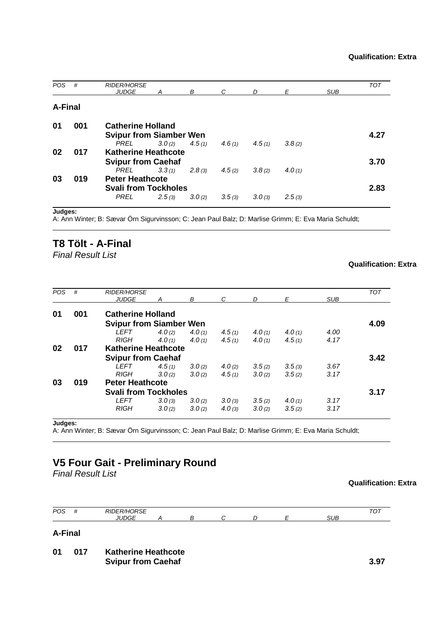| <b>POS</b>     | #   | <b>RIDER/HORSE</b>             |        |        |        |        |           |            | <b>TOT</b> |
|----------------|-----|--------------------------------|--------|--------|--------|--------|-----------|------------|------------|
|                |     | <b>JUDGE</b>                   | A      | B      | C      | D      | E         | <b>SUB</b> |            |
|                |     |                                |        |        |        |        |           |            |            |
| <b>A-Final</b> |     |                                |        |        |        |        |           |            |            |
|                |     |                                |        |        |        |        |           |            |            |
| 01             | 001 | <b>Catherine Holland</b>       |        |        |        |        |           |            |            |
|                |     | <b>Svipur from Siamber Wen</b> |        |        |        |        |           |            | 4.27       |
|                |     | PREL                           | 3.0(2) | 4.5(1) | 4.6(1) | 4.5(1) | 3.8(2)    |            |            |
| 02             | 017 | <b>Katherine Heathcote</b>     |        |        |        |        |           |            |            |
|                |     | <b>Svipur from Caehaf</b>      |        |        |        |        |           |            | 3.70       |
|                |     | <b>PREL</b>                    | 3.3(1) | 2.8(3) | 4.5(2) | 3.8(2) | 4.0 $(1)$ |            |            |
| 03             | 019 | <b>Peter Heathcote</b>         |        |        |        |        |           |            |            |
|                |     | <b>Svali from Tockholes</b>    |        |        |        |        |           |            | 2.83       |
|                |     | <b>PREL</b>                    | 2.5(3) | 3.0(2) | 3.5(3) | 3.0(3) | 2.5(3)    |            |            |
|                |     |                                |        |        |        |        |           |            |            |

A: Ann Winter; B: Sævar Örn Sigurvinsson; C: Jean Paul Balz; D: Marlise Grimm; E: Eva Maria Schuldt;

### **T8 Tölt - A-Final**

*Final Result List*

### **Qualification: Extra**

| <b>POS</b> | #   | <b>RIDER/HORSE</b><br><b>JUDGE</b>       | A      | В      | C      | D         | E      | <b>SUB</b> | <b>TOT</b> |
|------------|-----|------------------------------------------|--------|--------|--------|-----------|--------|------------|------------|
| 01         | 001 | <b>Catherine Holland</b>                 |        |        |        |           |        |            |            |
|            |     | <b>Svipur from Siamber Wen</b>           |        |        |        |           |        |            | 4.09       |
|            |     | <b>LEFT</b>                              | 4.0(2) | 4.0(1) | 4.5(1) | 4.0 $(1)$ | 4.0(1) | 4.00       |            |
|            |     | <b>RIGH</b>                              | 4.0(1) | 4.0(1) | 4.5(1) | 4.0(1)    | 4.5(1) | 4.17       |            |
| 02         | 017 | <b>Katherine Heathcote</b>               |        |        |        |           |        |            |            |
|            |     |                                          | 3.42   |        |        |           |        |            |            |
|            |     | <b>Svipur from Caehaf</b><br><b>LEFT</b> | 4.5(1) | 3.0(2) | 4.0(2) | 3.5(2)    | 3.5(3) | 3.67       |            |
|            |     | <b>RIGH</b>                              | 3.0(2) | 3.0(2) | 4.5(1) | 3.0(2)    | 3.5(2) | 3.17       |            |
| 03         | 019 | <b>Peter Heathcote</b>                   |        |        |        |           |        |            |            |
|            |     | <b>Svali from Tockholes</b>              |        |        |        |           |        |            | 3.17       |
|            |     | <b>LEFT</b>                              | 3.0(3) | 3.0(2) | 3.0(3) | 3.5(2)    | 4.0(1) | 3.17       |            |
|            |     | <b>RIGH</b>                              | 3.0(2) | 3.0(2) | 4.0(3) | 3.0(2)    | 3.5(2) | 3.17       |            |
|            |     |                                          |        |        |        |           |        |            |            |

**Judges:**

A: Ann Winter; B: Sævar Örn Sigurvinsson; C: Jean Paul Balz; D: Marlise Grimm; E: Eva Maria Schuldt;

# **V5 Four Gait - Preliminary Round**

*Final Result List*

#### **Qualification: Extra**

| <b>POS</b>     | #   | <b>RIDER/HORSE</b><br><b>JUDGE</b> | В |  | SUB | TOT |
|----------------|-----|------------------------------------|---|--|-----|-----|
| <b>A-Final</b> |     |                                    |   |  |     |     |
| 01             | 017 | <b>Katherine Heathcote</b>         |   |  |     |     |

**Svipur from Caehaf 3.97**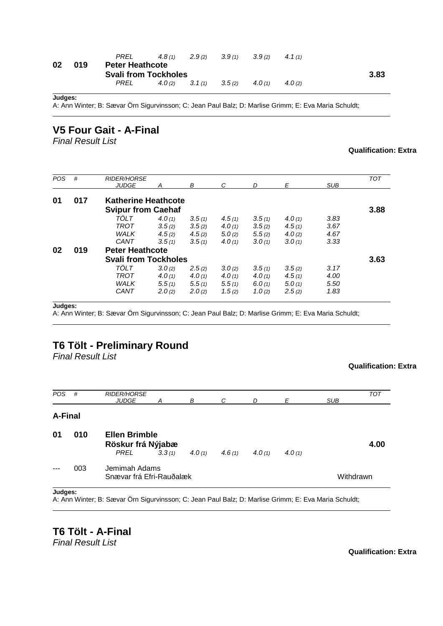| 3.83 |
|------|
|      |
|      |

A: Ann Winter; B: Sævar Örn Sigurvinsson; C: Jean Paul Balz; D: Marlise Grimm; E: Eva Maria Schuldt;

### **V5 Four Gait - A-Final**

*Final Result List*

#### **Qualification: Extra**

| <b>POS</b> | #                             | <b>RIDER/HORSE</b>          |        |        |           |           |        |            | <b>TOT</b> |  |
|------------|-------------------------------|-----------------------------|--------|--------|-----------|-----------|--------|------------|------------|--|
|            |                               | <b>JUDGE</b>                | Α      | В      | C         | D         | Е      | <b>SUB</b> |            |  |
| 01         | 017                           | <b>Katherine Heathcote</b>  |        |        |           |           |        |            |            |  |
|            |                               | <b>Svipur from Caehaf</b>   |        |        |           |           |        |            |            |  |
|            |                               | TÖLT                        | 4.0(1) | 3.5(1) | 4.5(1)    | 3.5(1)    | 4.0(1) | 3.83       |            |  |
|            |                               | TROT                        | 3.5(2) | 3.5(2) | 4.0 $(1)$ | 3.5(2)    | 4.5(1) | 3.67       |            |  |
|            |                               | WALK                        | 4.5(2) | 4.5(2) | 5.0(2)    | 5.5(2)    | 4.0(2) | 4.67       |            |  |
|            |                               | CANT                        | 3.5(1) | 3.5(1) | 4.0 $(1)$ | 3.0(1)    | 3.0(1) | 3.33       |            |  |
| 02         | <b>Peter Heathcote</b><br>019 |                             |        |        |           |           |        |            |            |  |
|            |                               | <b>Svali from Tockholes</b> |        |        |           |           |        |            | 3.63       |  |
|            |                               | TÖLT                        | 3.0(2) | 2.5(2) | 3.0(2)    | 3.5(1)    | 3.5(2) | 3.17       |            |  |
|            |                               | TROT                        | 4.0(1) | 4.0(1) | 4.0 $(1)$ | 4.0 $(1)$ | 4.5(1) | 4.00       |            |  |
|            |                               | <b>WALK</b>                 | 5.5(1) | 5.5(1) | 5.5(1)    | 6.0(1)    | 5.0(1) | 5.50       |            |  |
|            |                               | CANT                        | 2.0(2) | 2.0(2) | 1.5(2)    | 1.0(2)    | 2.5(2) | 1.83       |            |  |

**Judges:**

A: Ann Winter; B: Sævar Örn Sigurvinsson; C: Jean Paul Balz; D: Marlise Grimm; E: Eva Maria Schuldt;

### **T6 Tölt - Preliminary Round**

*Final Result List*

#### **Qualification: Extra**

| <b>POS</b> | #   | <b>RIDER/HORSE</b><br><b>JUDGE</b>                | Α      | В         | C         | D      | Ε      | <b>SUB</b> | <b>TOT</b> |
|------------|-----|---------------------------------------------------|--------|-----------|-----------|--------|--------|------------|------------|
| A-Final    |     |                                                   |        |           |           |        |        |            |            |
| 01         | 010 | <b>Ellen Brimble</b><br>Röskur frá Nýjabæ<br>PREL | 3.3(1) | 4.0 $(1)$ | 4.6 $(1)$ | 4.0(1) | 4.0(1) |            | 4.00       |
|            | 003 | Jemimah Adams<br>Snævar frá Efri-Rauðalæk         |        |           | Withdrawn |        |        |            |            |

**Judges:**

A: Ann Winter; B: Sævar Örn Sigurvinsson; C: Jean Paul Balz; D: Marlise Grimm; E: Eva Maria Schuldt;

**T6 Tölt - A-Final** *Final Result List*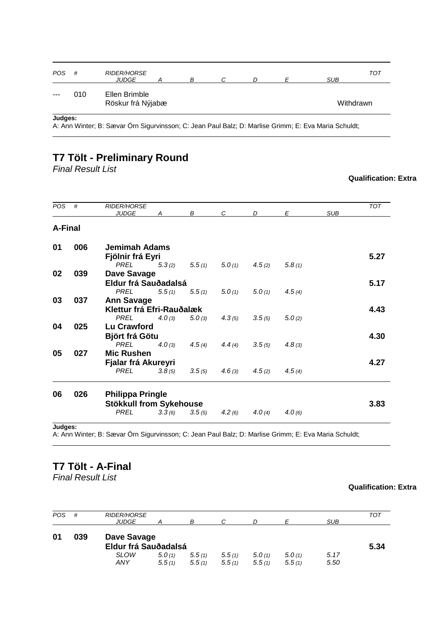| $- - -$    | 010 | Ellen Brimble<br>Röskur frá Nýjabæ |   |  |            | Withdrawn |
|------------|-----|------------------------------------|---|--|------------|-----------|
| <b>POS</b> | #   | <b>RIDER/HORSE</b><br><b>JUDGE</b> | B |  | <b>SUB</b> | TOT       |

A: Ann Winter; B: Sævar Örn Sigurvinsson; C: Jean Paul Balz; D: Marlise Grimm; E: Eva Maria Schuldt;

## **T7 Tölt - Preliminary Round**

*Final Result List*

### **Qualification: Extra**

| <b>POS</b> | #   | <b>RIDER/HORSE</b><br><b>JUDGE</b> | A      | В                 | C      | D      | E      | <b>SUB</b> | TOT  |
|------------|-----|------------------------------------|--------|-------------------|--------|--------|--------|------------|------|
| A-Final    |     |                                    |        |                   |        |        |        |            |      |
| 01         | 006 | <b>Jemimah Adams</b>               |        |                   |        |        |        |            |      |
|            |     | Fjölnir frá Eyri                   |        |                   |        |        |        |            | 5.27 |
|            |     | PREL                               | 5.3(2) | 5.5(1)            | 5.0(1) | 4.5(2) | 5.8(1) |            |      |
| 02         | 039 | <b>Dave Savage</b>                 |        |                   |        |        |        |            |      |
|            |     | Eldur frá Sauðadalsá               |        |                   |        |        |        |            | 5.17 |
|            |     | <b>PREL</b>                        | 5.5(1) | 5.5(1)            | 5.0(1) | 5.0(1) | 4.5(4) |            |      |
| 03         | 037 | <b>Ann Savage</b>                  |        |                   |        |        |        |            |      |
|            |     | Klettur frá Efri-Rauðalæk          |        |                   |        |        |        |            | 4.43 |
|            |     | PREL                               |        | $4.0(3)$ $5.0(3)$ | 4.3(5) | 3.5(5) | 5.0(2) |            |      |
| 04         | 025 | <b>Lu Crawford</b>                 |        |                   |        |        |        |            |      |
|            |     | <b>Björt frá Götu</b>              |        |                   |        |        |        |            | 4.30 |
|            |     | PREL                               | 4.0(3) | 4.5(4)            | 4.4(4) | 3.5(5) | 4.8(3) |            |      |
| 05         | 027 | <b>Mic Rushen</b>                  |        |                   |        |        |        |            |      |
|            |     | Fjalar frá Akureyri                |        |                   |        |        |        |            | 4.27 |
|            |     | <b>PREL</b>                        | 3.8(5) | 3.5(5)            | 4.6(3) | 4.5(2) | 4.5(4) |            |      |
| 06         | 026 | <b>Philippa Pringle</b>            |        |                   |        |        |        |            |      |
|            |     | <b>Stökkull from Sykehouse</b>     |        |                   |        |        |        |            | 3.83 |
|            |     | <b>PREL</b>                        | 3.3(6) | 3.5(5)            | 4.2(6) | 4.0(4) | 4.0(6) |            |      |
|            |     |                                    |        |                   |        |        |        |            |      |

**Judges:**

A: Ann Winter; B: Sævar Örn Sigurvinsson; C: Jean Paul Balz; D: Marlise Grimm; E: Eva Maria Schuldt;

# **T7 Tölt - A-Final**

*Final Result List*

| POS. | #   | <b>RIDER/HORSE</b><br><b>JUDGE</b>  |                  | В                |                  |                  |                  | <b>SUB</b>   | TOT  |
|------|-----|-------------------------------------|------------------|------------------|------------------|------------------|------------------|--------------|------|
| 01   | 039 | Dave Savage<br>Eldur frá Sauðadalsá |                  |                  |                  |                  |                  |              | 5.34 |
|      |     | <b>SLOW</b><br>ANY                  | 5.0(1)<br>5.5(1) | 5.5(1)<br>5.5(1) | 5.5(1)<br>5.5(1) | 5.0(1)<br>5.5(1) | 5.0(1)<br>5.5(1) | 5.17<br>5.50 |      |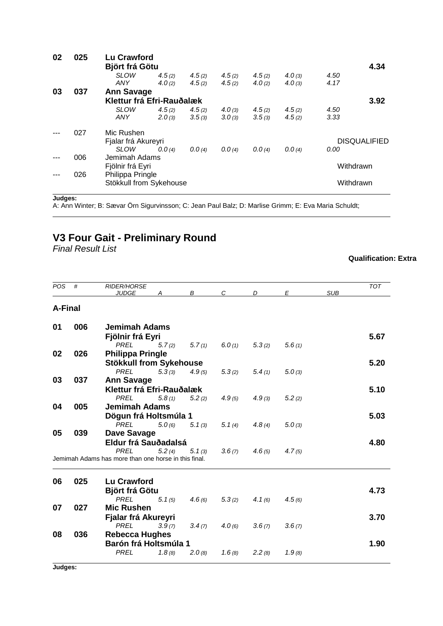| 02 | 025 | <b>Lu Crawford</b>        |        |        |        |        |        |           |                     |
|----|-----|---------------------------|--------|--------|--------|--------|--------|-----------|---------------------|
|    |     | <b>Björt frá Götu</b>     |        |        |        |        |        |           | 4.34                |
|    |     | <b>SLOW</b>               | 4.5(2) | 4.5(2) | 4.5(2) | 4.5(2) | 4.0(3) | 4.50      |                     |
|    |     | ANY                       | 4.0(2) | 4.5(2) | 4.5(2) | 4.0(2) | 4.0(3) | 4.17      |                     |
| 03 | 037 | <b>Ann Savage</b>         |        |        |        |        |        |           |                     |
|    |     | Klettur frá Efri-Rauðalæk |        |        |        |        |        |           | 3.92                |
|    |     | <b>SLOW</b>               | 4.5(2) | 4.5(2) | 4.0(3) | 4.5(2) | 4.5(2) | 4.50      |                     |
|    |     | ANY                       | 2.0(3) | 3.5(3) | 3.0(3) | 3.5(3) | 4.5(2) | 3.33      |                     |
|    | 027 | Mic Rushen                |        |        |        |        |        |           |                     |
|    |     | Fjalar frá Akureyri       |        |        |        |        |        |           | <b>DISQUALIFIED</b> |
|    |     | <b>SLOW</b>               | 0.0(4) | 0.0(4) | 0.0(4) | 0.0(4) | 0.0(4) | 0.00      |                     |
|    | 006 | Jemimah Adams             |        |        |        |        |        |           |                     |
|    |     | Fjölnir frá Eyri          |        |        |        |        |        | Withdrawn |                     |
|    | 026 | Philippa Pringle          |        |        |        |        |        |           |                     |
|    |     | Stökkull from Sykehouse   |        |        |        |        |        | Withdrawn |                     |
|    |     |                           |        |        |        |        |        |           |                     |

A: Ann Winter; B: Sævar Örn Sigurvinsson; C: Jean Paul Balz; D: Marlise Grimm; E: Eva Maria Schuldt;

# **V3 Four Gait - Preliminary Round**

*Final Result List*

| POS            | #   | <b>RIDER/HORSE</b>                                   |        |        |               |        |        |            | <b>TOT</b> |
|----------------|-----|------------------------------------------------------|--------|--------|---------------|--------|--------|------------|------------|
|                |     | <b>JUDGE</b>                                         | A      | B      | $\mathcal{C}$ | D      | E      | <b>SUB</b> |            |
| <b>A-Final</b> |     |                                                      |        |        |               |        |        |            |            |
| 01             | 006 | <b>Jemimah Adams</b>                                 |        |        |               |        |        |            |            |
|                |     | Fjölnir frá Eyri                                     |        |        |               |        |        |            | 5.67       |
|                |     | <b>PREL</b>                                          | 5.7(2) | 5.7(1) | 6.0(1)        | 5.3(2) | 5.6(1) |            |            |
| 02             | 026 | <b>Philippa Pringle</b>                              |        |        |               |        |        |            |            |
|                |     | <b>Stökkull from Sykehouse</b>                       |        |        |               |        |        |            | 5.20       |
|                |     | <b>PREL</b>                                          | 5.3(3) | 4.9(5) | 5.3(2)        | 5.4(1) | 5.0(3) |            |            |
| 03             | 037 | <b>Ann Savage</b>                                    |        |        |               |        |        |            |            |
|                |     | Klettur frá Efri-Rauðalæk                            |        |        |               |        |        |            | 5.10       |
|                |     | <b>PREL</b>                                          | 5.8(1) | 5.2(2) | 4.9(5)        | 4.9(3) | 5.2(2) |            |            |
| 04             | 005 | <b>Jemimah Adams</b>                                 |        |        |               |        |        |            |            |
|                |     | Dögun frá Holtsmúla 1                                |        |        |               |        |        |            | 5.03       |
|                |     | <b>PREL</b>                                          | 5.0(6) | 5.1(3) | 5.1(4)        | 4.8(4) | 5.0(3) |            |            |
| 05             | 039 | Dave Savage                                          |        |        |               |        |        |            |            |
|                |     | Eldur frá Sauðadalsá                                 |        |        |               |        |        |            | 4.80       |
|                |     | <b>PREL</b>                                          | 5.2(4) | 5.1(3) | 3.6(7)        | 4.6(5) | 4.7(5) |            |            |
|                |     | Jemimah Adams has more than one horse in this final. |        |        |               |        |        |            |            |
| 06             | 025 | <b>Lu Crawford</b>                                   |        |        |               |        |        |            |            |
|                |     | <b>Björt frá Götu</b>                                |        |        |               |        |        |            | 4.73       |
|                |     | <b>PREL</b>                                          | 5.1(5) | 4.6(6) | 5.3(2)        | 4.1(6) | 4.5(6) |            |            |
| 07             | 027 | <b>Mic Rushen</b>                                    |        |        |               |        |        |            |            |
|                |     | Fjalar frá Akureyri                                  |        |        |               |        |        |            | 3.70       |
|                |     | <b>PREL</b>                                          | 3.9(7) | 3.4(7) | 4.0(6)        | 3.6(7) | 3.6(7) |            |            |
| 08             | 036 | <b>Rebecca Hughes</b>                                |        |        |               |        |        |            |            |
|                |     | Barón frá Holtsmúla 1                                |        |        |               |        |        |            | 1.90       |
|                |     | <b>PREL</b>                                          | 1.8(8) | 2.0(8) | 1.6(8)        | 2.2(8) | 1.9(8) |            |            |
|                |     |                                                      |        |        |               |        |        |            |            |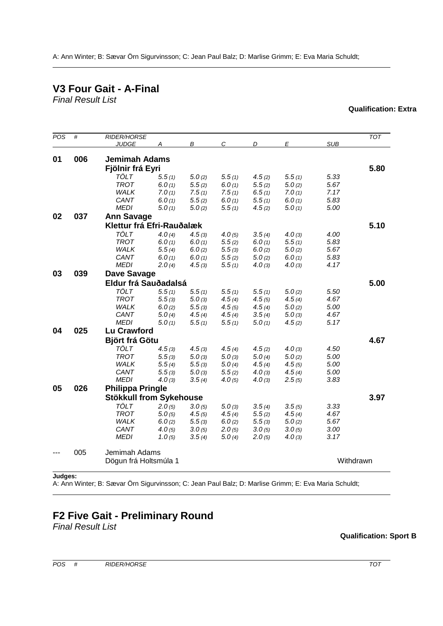A: Ann Winter; B: Sævar Örn Sigurvinsson; C: Jean Paul Balz; D: Marlise Grimm; E: Eva Maria Schuldt;

# **V3 Four Gait - A-Final**

*Final Result List*

| POS | #   | <b>RIDER/HORSE</b>             |        |        |               |        |        |            | TOT       |
|-----|-----|--------------------------------|--------|--------|---------------|--------|--------|------------|-----------|
|     |     | <b>JUDGE</b>                   | А      | B      | $\mathcal{C}$ | D      | E      | <b>SUB</b> |           |
|     |     |                                |        |        |               |        |        |            |           |
| 01  | 006 | <b>Jemimah Adams</b>           |        |        |               |        |        |            |           |
|     |     | Fjölnir frá Eyri               |        |        |               |        |        |            | 5.80      |
|     |     | TÖLT                           | 5.5(1) | 5.0(2) | 5.5(1)        | 4.5(2) | 5.5(1) | 5.33       |           |
|     |     | <b>TROT</b>                    | 6.0(1) | 5.5(2) | 6.0(1)        | 5.5(2) | 5.0(2) | 5.67       |           |
|     |     | WALK                           | 7.0(1) | 7.5(1) | 7.5(1)        | 6.5(1) | 7.0(1) | 7.17       |           |
|     |     | CANT                           | 6.0(1) | 5.5(2) | 6.0(1)        | 5.5(1) | 6.0(1) | 5.83       |           |
|     |     | <b>MEDI</b>                    | 5.0(1) | 5.0(2) | 5.5(1)        | 4.5(2) | 5.0(1) | 5.00       |           |
| 02  | 037 | <b>Ann Savage</b>              |        |        |               |        |        |            |           |
|     |     | Klettur frá Efri-Rauðalæk      |        |        |               |        |        |            | 5.10      |
|     |     | <b>TÖLT</b>                    | 4.0(4) | 4.5(3) | 4.0(5)        | 3.5(4) | 4.0(3) | 4.00       |           |
|     |     | <b>TROT</b>                    | 6.0(1) | 6.0(1) | 5.5(2)        | 6.0(1) | 5.5(1) | 5.83       |           |
|     |     | WALK                           | 5.5(4) | 6.0(2) | 5.5(3)        | 6.0(2) | 5.0(2) | 5.67       |           |
|     |     | CANT                           | 6.0(1) | 6.0(1) | 5.5(2)        | 5.0(2) | 6.0(1) | 5.83       |           |
|     |     | <b>MEDI</b>                    | 2.0(4) | 4.5(3) | 5.5(1)        | 4.0(3) | 4.0(3) | 4.17       |           |
| 03  | 039 | <b>Dave Savage</b>             |        |        |               |        |        |            |           |
|     |     | Eldur frá Sauðadalsá           |        |        |               |        |        |            | 5.00      |
|     |     |                                |        |        |               |        |        |            |           |
|     |     | TÖLT<br><b>TROT</b>            | 5.5(1) | 5.5(1) | 5.5(1)        | 5.5(1) | 5.0(2) | 5.50       |           |
|     |     |                                | 5.5(3) | 5.0(3) | 4.5(4)        | 4.5(5) | 4.5(4) | 4.67       |           |
|     |     | WALK                           | 6.0(2) | 5.5(3) | 4.5(5)        | 4.5(4) | 5.0(2) | 5.00       |           |
|     |     | CANT                           | 5.0(4) | 4.5(4) | 4.5(4)        | 3.5(4) | 5.0(3) | 4.67       |           |
|     |     | <b>MEDI</b>                    | 5.0(1) | 5.5(1) | 5.5(1)        | 5.0(1) | 4.5(2) | 5.17       |           |
| 04  | 025 | Lu Crawford                    |        |        |               |        |        |            |           |
|     |     | <b>Björt frá Götu</b>          |        |        |               |        |        |            | 4.67      |
|     |     | <b>TÖLT</b>                    | 4.5(3) | 4.5(3) | 4.5(4)        | 4.5(2) | 4.0(3) | 4.50       |           |
|     |     | <b>TROT</b>                    | 5.5(3) | 5.0(3) | 5.0(3)        | 5.0(4) | 5.0(2) | 5.00       |           |
|     |     | <b>WALK</b>                    | 5.5(4) | 5.5(3) | 5.0(4)        | 4.5(4) | 4.5(5) | 5.00       |           |
|     |     | CANT                           | 5.5(3) | 5.0(3) | 5.5(2)        | 4.0(3) | 4.5(4) | 5.00       |           |
|     |     | <b>MEDI</b>                    | 4.0(3) | 3.5(4) | 4.0(5)        | 4.0(3) | 2.5(5) | 3.83       |           |
| 05  | 026 | <b>Philippa Pringle</b>        |        |        |               |        |        |            |           |
|     |     | <b>Stökkull from Sykehouse</b> |        |        |               |        |        |            | 3.97      |
|     |     | <b>TÖLT</b>                    | 2.0(5) | 3.0(5) | 5.0(3)        | 3.5(4) | 3.5(5) | 3.33       |           |
|     |     | <b>TROT</b>                    | 5.0(5) | 4.5(5) | 4.5(4)        | 5.5(2) | 4.5(4) | 4.67       |           |
|     |     | WALK                           | 6.0(2) | 5.5(3) | 6.0(2)        | 5.5(3) | 5.0(2) | 5.67       |           |
|     |     | CANT                           | 4.0(5) | 3.0(5) | 2.0(5)        | 3.0(5) | 3.0(5) | 3.00       |           |
|     |     | <b>MEDI</b>                    | 1.0(5) | 3.5(4) | 5.0(4)        | 2.0(5) | 4.0(3) | 3.17       |           |
|     | 005 | Jemimah Adams                  |        |        |               |        |        |            |           |
|     |     | Dögun frá Holtsmúla 1          |        |        |               |        |        |            | Withdrawn |
|     |     |                                |        |        |               |        |        |            |           |

#### **Judges:**

A: Ann Winter; B: Sævar Örn Sigurvinsson; C: Jean Paul Balz; D: Marlise Grimm; E: Eva Maria Schuldt;

# **F2 Five Gait - Preliminary Round**

*Final Result List*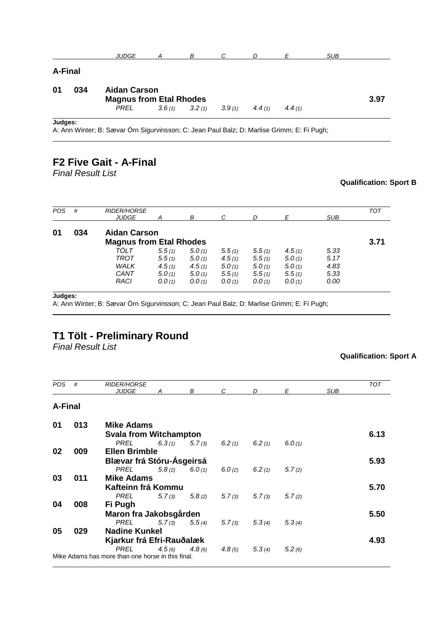|                |     | <b>JUDGE</b>                                          | А | В                 | C      | D      | E      | <b>SUB</b> |      |
|----------------|-----|-------------------------------------------------------|---|-------------------|--------|--------|--------|------------|------|
| <b>A-Final</b> |     |                                                       |   |                   |        |        |        |            |      |
| 01             | 034 | <b>Aidan Carson</b><br><b>Magnus from Etal Rhodes</b> |   |                   |        |        |        |            | 3.97 |
|                |     | PREL                                                  |   | $3.6(1)$ $3.2(1)$ | 3.9(1) | 4.4(1) | 4.4(1) |            |      |
|                |     |                                                       |   |                   |        |        |        |            |      |

A: Ann Winter; B: Sævar Örn Sigurvinsson; C: Jean Paul Balz; D: Marlise Grimm; E: Fi Pugh;

### **F2 Five Gait - A-Final**

*Final Result List*

#### **Qualification: Sport B**

| <b>POS</b> | #   | <b>RIDER/HORSE</b><br><b>JUDGE</b> | А      | в      | С      | D      | Ε      | <b>SUB</b> | <b>TOT</b> |  |
|------------|-----|------------------------------------|--------|--------|--------|--------|--------|------------|------------|--|
| 01         | 034 | <b>Aidan Carson</b>                |        |        |        |        |        |            |            |  |
|            |     | <b>Magnus from Etal Rhodes</b>     |        |        |        |        |        |            | 3.71       |  |
|            |     | TÖLT                               | 5.5(1) | 5.0(1) | 5.5(1) | 5.5(1) | 4.5(1) | 5.33       |            |  |
|            |     | TROT                               | 5.5(1) | 5.0(1) | 4.5(1) | 5.5(1) | 5.0(1) | 5.17       |            |  |
|            |     | <b>WALK</b>                        | 4.5(1) | 4.5(1) | 5.0(1) | 5.0(1) | 5.0(1) | 4.83       |            |  |
|            |     | CANT                               | 5.0(1) | 5.0(1) | 5.5(1) | 5.5(1) | 5.5(1) | 5.33       |            |  |
|            |     | RACI                               | 0.0(1) | 0.0(1) | 0.0(1) | 0.0(1) | 0.0(1) | 0.00       |            |  |

**Judges:**

A: Ann Winter; B: Sævar Örn Sigurvinsson; C: Jean Paul Balz; D: Marlise Grimm; E: Fi Pugh;

## **T1 Tölt - Preliminary Round**

*Final Result List*

| <b>POS</b>     | #                         | <b>RIDER/HORSE</b><br><b>JUDGE</b>                | A      | B                          | $\mathcal{C}$ | D      | E      | <b>SUB</b> | <b>TOT</b> |
|----------------|---------------------------|---------------------------------------------------|--------|----------------------------|---------------|--------|--------|------------|------------|
| <b>A-Final</b> |                           |                                                   |        |                            |               |        |        |            |            |
| 01             | 013                       | Mike Adams                                        |        |                            |               |        |        |            |            |
|                |                           | <b>Svala from Witchampton</b>                     |        |                            |               |        |        |            | 6.13       |
|                |                           | PREL                                              |        | $6.3(1)$ $5.7(3)$          | 6.2(1)        | 6.2(1) | 6.0(1) |            |            |
| 02             | 009                       | <b>Ellen Brimble</b>                              |        |                            |               |        |        |            |            |
|                | Blævar frá Stóru-Ásgeirsá |                                                   |        |                            |               |        |        |            | 5.93       |
|                |                           | <b>PREL</b>                                       |        | $5.8(2)$ $6.0(1)$          | 6.0(2)        | 6.2(1) | 5.7(2) |            |            |
| 03             | 011                       | <b>Mike Adams</b>                                 |        |                            |               |        |        |            |            |
|                |                           | Kafteinn frá Kommu                                |        |                            |               |        |        |            | 5.70       |
|                |                           | PREL                                              | 5.7(3) | 5.8(2)                     | 5.7(3)        | 5.7(3) | 5.7(2) |            |            |
| 04             | 008                       | Fi Pugh                                           |        |                            |               |        |        |            |            |
|                |                           | Maron fra Jakobsgården                            |        |                            |               |        |        |            | 5.50       |
|                |                           | PREL                                              |        | $5.7(3)$ $5.5(4)$ $5.7(3)$ |               | 5.3(4) | 5.3(4) |            |            |
| 05             | 029                       | <b>Nadine Kunkel</b>                              |        |                            |               |        |        |            |            |
|                |                           | Kjarkur frá Efri-Rauðalæk                         |        |                            |               |        |        |            | 4.93       |
|                |                           | <b>PREL</b>                                       | 4.5(6) | $4.8\,(6)$                 | 4.8(5)        | 5.3(4) | 5.2(6) |            |            |
|                |                           | Mike Adams has more than one horse in this final. |        |                            |               |        |        |            |            |
|                |                           |                                                   |        |                            |               |        |        |            |            |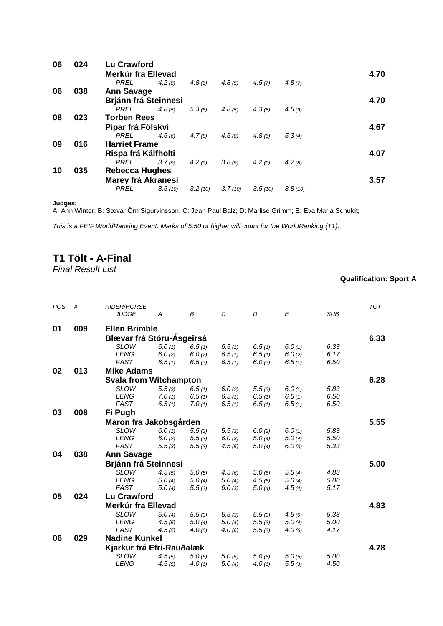| 06 | 024 | <b>Lu Crawford</b><br>Merkúr fra Ellevad |         |         |         |         |         | 4.70 |
|----|-----|------------------------------------------|---------|---------|---------|---------|---------|------|
|    |     | <b>PREL</b>                              | 4.2(8)  | 4.8(6)  | 4.8(5)  | 4.5(7)  | 4.8(7)  |      |
| 06 | 038 | <b>Ann Savage</b>                        |         |         |         |         |         |      |
|    |     | <b>Brjánn frá Steinnesi</b>              |         |         |         |         |         | 4.70 |
|    |     | <b>PREL</b>                              | 4.8(5)  | 5.3(5)  | 4.8(5)  | 4.3(8)  | 4.5(9)  |      |
| 08 | 023 | <b>Torben Rees</b>                       |         |         |         |         |         |      |
|    |     | Pipar frá Fölskvi                        |         |         |         |         |         | 4.67 |
|    |     | PREL                                     | 4.5(6)  | 4.7(8)  | 4.5(8)  | 4.8(6)  | 5.3(4)  |      |
| 09 | 016 | <b>Harriet Frame</b>                     |         |         |         |         |         |      |
|    |     | Rispa frá Kálfholti                      |         |         |         |         |         | 4.07 |
|    |     | PREL                                     | 3.7(9)  | 4.2(9)  | 3.8(9)  | 4.2(9)  | 4.7(8)  |      |
| 10 | 035 | <b>Rebecca Hughes</b>                    |         |         |         |         |         |      |
|    |     | Marey frá Akranesi                       |         |         |         |         |         | 3.57 |
|    |     | <b>PREL</b>                              | 3.5(10) | 3.2(10) | 3.7(10) | 3.5(10) | 3.8(10) |      |

A: Ann Winter; B: Sævar Örn Sigurvinsson; C: Jean Paul Balz; D: Marlise Grimm; E: Eva Maria Schuldt;

*This is a FEIF WorldRanking Event. Marks of 5.50 or higher will count for the WorldRanking (T1).*

# **T1 Tölt - A-Final**

*Final Result List*

| POS | #   | <b>RIDER/HORSE</b>            |        |        |        |        |        |            | <b>TOT</b> |
|-----|-----|-------------------------------|--------|--------|--------|--------|--------|------------|------------|
|     |     | <b>JUDGE</b>                  | А      | В      | C      | D      | E      | <b>SUB</b> |            |
| 01  | 009 | <b>Ellen Brimble</b>          |        |        |        |        |        |            |            |
|     |     |                               |        |        |        |        |        |            |            |
|     |     | Blævar frá Stóru-Ásgeirsá     |        |        |        |        |        |            | 6.33       |
|     |     | <b>SLOW</b>                   | 6.0(1) | 6.5(1) | 6.5(1) | 6.5(1) | 6.0(1) | 6.33       |            |
|     |     | <b>LENG</b>                   | 6.0(2) | 6.0(2) | 6.5(1) | 6.5(1) | 6.0(2) | 6.17       |            |
|     |     | <b>FAST</b>                   | 6.5(1) | 6.5(2) | 6.5(1) | 6.0(2) | 6.5(1) | 6.50       |            |
| 02  | 013 | <b>Mike Adams</b>             |        |        |        |        |        |            |            |
|     |     | <b>Svala from Witchampton</b> |        |        |        |        |        |            | 6.28       |
|     |     | <b>SLOW</b>                   | 5.5(3) | 6.5(1) | 6.0(2) | 5.5(3) | 6.0(1) | 5.83       |            |
|     |     | <b>LENG</b>                   | 7.0(1) | 6.5(1) | 6.5(1) | 6.5(1) | 6.5(1) | 6.50       |            |
|     |     | <b>FAST</b>                   | 6.5(1) | 7.0(1) | 6.5(1) | 6.5(1) | 6.5(1) | 6.50       |            |
| 03  | 008 | Fi Pugh                       |        |        |        |        |        |            |            |
|     |     | Maron fra Jakobsgården        |        |        |        |        |        |            | 5.55       |
|     |     | <b>SLOW</b>                   | 6.0(1) | 5.5(3) | 5.5(3) | 6.0(2) | 6.0(1) | 5.83       |            |
|     |     | <b>LENG</b>                   | 6.0(2) | 5.5(3) | 6.0(3) | 5.0(4) | 5.0(4) | 5.50       |            |
|     |     | <b>FAST</b>                   | 5.5(3) | 5.5(3) | 4.5(5) | 5.0(4) | 6.0(3) | 5.33       |            |
| 04  | 038 | <b>Ann Savage</b>             |        |        |        |        |        |            |            |
|     |     |                               |        |        |        |        |        |            |            |
|     |     | <b>Brjánn frá Steinnesi</b>   |        |        |        |        |        |            | 5.00       |
|     |     | <b>SLOW</b>                   | 4.5(5) | 5.0(5) | 4.5(6) | 5.0(5) | 5.5(4) | 4.83       |            |
|     |     | <b>LENG</b>                   | 5.0(4) | 5.0(4) | 5.0(4) | 4.5(5) | 5.0(4) | 5.00       |            |
|     |     | <b>FAST</b>                   | 5.0(4) | 5.5(3) | 6.0(3) | 5.0(4) | 4.5(4) | 5.17       |            |
| 05  | 024 | <b>Lu Crawford</b>            |        |        |        |        |        |            |            |
|     |     | Merkúr fra Ellevad            |        |        |        |        |        |            | 4.83       |
|     |     | <b>SLOW</b>                   | 5.0(4) | 5.5(3) | 5.5(3) | 5.5(3) | 4.5(6) | 5.33       |            |
|     |     | <b>LENG</b>                   | 4.5(5) | 5.0(4) | 5.0(4) | 5.5(3) | 5.0(4) | 5.00       |            |
|     |     | <b>FAST</b>                   | 4.5(5) | 4.0(6) | 4.0(6) | 5.5(3) | 4.0(6) | 4.17       |            |
| 06  | 029 | <b>Nadine Kunkel</b>          |        |        |        |        |        |            |            |
|     |     | Kjarkur frá Efri-Rauðalæk     |        |        |        |        |        |            | 4.78       |
|     |     | <b>SLOW</b>                   | 4.5(5) | 5.0(5) | 5.0(5) | 5.0(5) | 5.0(5) | 5.00       |            |
|     |     | <b>LENG</b>                   |        |        |        |        |        | 4.50       |            |
|     |     |                               | 4.5(5) | 4.0(6) | 5.0(4) | 4.0(6) | 5.5(3) |            |            |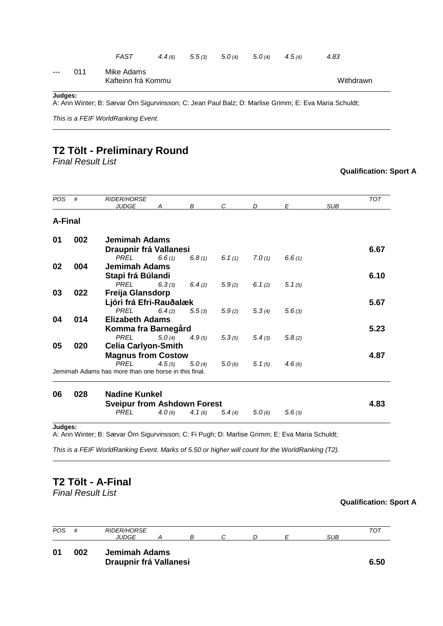|                      |     | FAST                             |  | $4.4(6)$ $5.5(3)$ $5.0(4)$ $5.0(4)$ $4.5(4)$ | 4.83      |
|----------------------|-----|----------------------------------|--|----------------------------------------------|-----------|
| $\sim$ $\sim$ $\sim$ | 011 | Mike Adams<br>Kafteinn frá Kommu |  |                                              | Withdrawn |
|                      |     |                                  |  |                                              |           |

A: Ann Winter; B: Sævar Örn Sigurvinsson; C: Jean Paul Balz; D: Marlise Grimm; E: Eva Maria Schuldt;

*This is a FEIF WorldRanking Event.* 

## **T2 Tölt - Preliminary Round**

*Final Result List*

### **Qualification: Sport A**

| POS            | #   | <b>RIDER/HORSE</b><br><b>JUDGE</b>                   | A                      | B      | C                 | D      | E      | <b>SUB</b> | TOT  |  |  |
|----------------|-----|------------------------------------------------------|------------------------|--------|-------------------|--------|--------|------------|------|--|--|
| <b>A-Final</b> |     |                                                      |                        |        |                   |        |        |            |      |  |  |
| 01             | 002 | Jemimah Adams                                        |                        |        |                   |        |        |            |      |  |  |
|                |     |                                                      | Draupnir frá Vallanesi |        |                   |        |        |            |      |  |  |
|                |     | <b>PREL</b>                                          | 6.6(1)                 | 6.8(1) | 6.1 $(1)$         | 7.0(1) | 6.6(1) |            |      |  |  |
| 02             | 004 | Jemimah Adams                                        |                        |        |                   |        |        |            |      |  |  |
|                |     | Stapi frá Búlandi                                    |                        |        |                   |        |        |            | 6.10 |  |  |
|                |     | <b>PREL</b>                                          | 6.3(3)                 |        | $6.4(2)$ $5.9(2)$ | 6.1(2) | 5.1(5) |            |      |  |  |
| 03             | 022 | Freija Glansdorp                                     |                        |        |                   |        |        |            |      |  |  |
|                |     | Ljóri frá Efri-Rauðalæk                              |                        |        |                   |        |        |            | 5.67 |  |  |
|                |     | <b>PREL</b>                                          | 6.4(2)                 | 5.5(3) | 5.9(2)            | 5.3(4) | 5.6(3) |            |      |  |  |
| 04             | 014 | <b>Elizabeth Adams</b>                               |                        |        |                   |        |        |            |      |  |  |
|                |     | Komma fra Barnegård                                  |                        |        |                   |        |        |            | 5.23 |  |  |
|                |     | <b>PREL</b>                                          | 5.0(4)                 | 4.9(5) | 5.3(5)            | 5.4(3) | 5.8(2) |            |      |  |  |
| 05             | 020 | <b>Celia Carlyon-Smith</b>                           |                        |        |                   |        |        |            |      |  |  |
|                |     | <b>Magnus from Costow</b>                            |                        |        |                   |        |        |            | 4.87 |  |  |
|                |     | <b>PREL</b>                                          | 4.5(5)                 | 5.0(4) | 5.0(6)            | 5.1(5) | 4.6(6) |            |      |  |  |
|                |     | Jemimah Adams has more than one horse in this final. |                        |        |                   |        |        |            |      |  |  |
|                |     |                                                      |                        |        |                   |        |        |            |      |  |  |
| 06             | 028 | <b>Nadine Kunkel</b>                                 |                        |        |                   |        |        |            |      |  |  |
|                |     | <b>Sveipur from Ashdown Forest</b>                   |                        |        |                   |        |        |            | 4.83 |  |  |
|                |     | <b>PREL</b>                                          | 4.0(6)                 | 4.1(6) | 5.4(4)            | 5.0(6) | 5.6(3) |            |      |  |  |
|                |     |                                                      |                        |        |                   |        |        |            |      |  |  |

**Judges:**

A: Ann Winter; B: Sævar Örn Sigurvinsson; C: Fi Pugh; D: Marlise Grimm; E: Eva Maria Schuldt;

*This is a FEIF WorldRanking Event. Marks of 5.50 or higher will count for the WorldRanking (T2).*

## **T2 Tölt - A-Final**

*Final Result List*

### **Qualification: Sport A**



**01 002 Jemimah Adams Draupnir frá Vallanesi 6.50**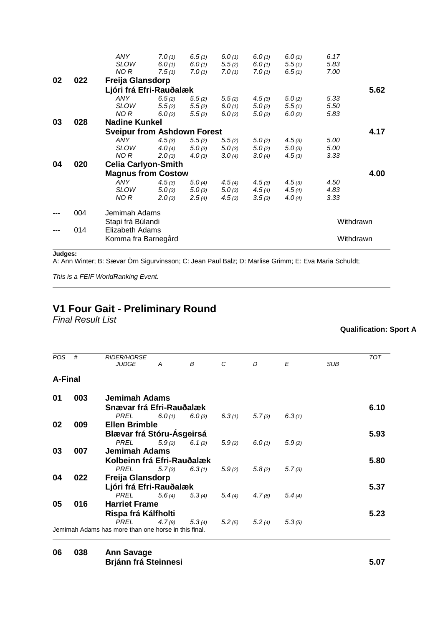|    |     | <b>ANY</b>                                              | 7.0(1)                             | 6.5(1) | 6.0(1) | 6.0(1) | 6.0(1) | 6.17      |           |  |  |
|----|-----|---------------------------------------------------------|------------------------------------|--------|--------|--------|--------|-----------|-----------|--|--|
|    |     | <b>SLOW</b>                                             | 6.0(1)                             | 6.0(1) | 5.5(2) | 6.0(1) | 5.5(1) | 5.83      |           |  |  |
|    |     | NO R                                                    | 7.5(1)                             | 7.0(1) | 7.0(1) | 7.0(1) | 6.5(1) | 7.00      |           |  |  |
| 02 | 022 | Freija Glansdorp                                        |                                    |        |        |        |        |           |           |  |  |
|    |     | Ljóri frá Efri-Rauðalæk                                 |                                    |        |        |        |        |           | 5.62      |  |  |
|    |     | <b>ANY</b>                                              | 6.5(2)                             | 5.5(2) | 5.5(2) | 4.5(3) | 5.0(2) | 5.33      |           |  |  |
|    |     | <b>SLOW</b>                                             | 5.5(2)                             | 5.5(2) | 6.0(1) | 5.0(2) | 5.5(1) | 5.50      |           |  |  |
|    |     | NO R                                                    | 6.0(2)                             | 5.5(2) | 6.0(2) | 5.0(2) | 6.0(2) | 5.83      |           |  |  |
| 03 | 028 | <b>Nadine Kunkel</b>                                    |                                    |        |        |        |        |           |           |  |  |
|    |     |                                                         | <b>Sveipur from Ashdown Forest</b> |        |        |        |        |           |           |  |  |
|    |     | <b>ANY</b>                                              | 4.5(3)                             | 5.5(2) | 5.5(2) | 5.0(2) | 4.5(3) | 5.00      |           |  |  |
|    |     | <b>SLOW</b>                                             | 4.0(4)                             | 5.0(3) | 5.0(3) | 5.0(2) | 5.0(3) | 5.00      |           |  |  |
|    |     | NO R                                                    | 2.0(3)                             | 4.0(3) | 3.0(4) | 3.0(4) | 4.5(3) | 3.33      |           |  |  |
| 04 | 020 | <b>Celia Carlyon-Smith</b><br><b>Magnus from Costow</b> |                                    |        |        |        |        |           |           |  |  |
|    |     |                                                         |                                    |        |        |        |        |           |           |  |  |
|    |     | <b>ANY</b>                                              | 4.5(3)                             | 5.0(4) | 4.5(4) | 4.5(3) | 4.5(3) | 4.50      |           |  |  |
|    |     | <b>SLOW</b>                                             | 5.0(3)                             | 5.0(3) | 5.0(3) | 4.5(4) | 4.5(4) | 4.83      |           |  |  |
|    |     | NO R                                                    | 2.0(3)                             | 2.5(4) | 4.5(3) | 3.5(3) | 4.0(4) | 3.33      |           |  |  |
|    | 004 | Jemimah Adams                                           |                                    |        |        |        |        |           |           |  |  |
|    |     | Stapi frá Búlandi                                       |                                    |        |        |        |        |           | Withdrawn |  |  |
|    | 014 | Elizabeth Adams                                         |                                    |        |        |        |        |           |           |  |  |
|    |     | Komma fra Barnegård                                     |                                    |        |        |        |        | Withdrawn |           |  |  |
|    |     |                                                         |                                    |        |        |        |        |           |           |  |  |

A: Ann Winter; B: Sævar Örn Sigurvinsson; C: Jean Paul Balz; D: Marlise Grimm; E: Eva Maria Schuldt;

*This is a FEIF WorldRanking Event.* 

# **V1 Four Gait - Preliminary Round**

*Final Result List*

### **Qualification: Sport A**

| POS.           | #   | <b>RIDER/HORSE</b>                                   |        |                   |        |        |        |            | <b>TOT</b> |
|----------------|-----|------------------------------------------------------|--------|-------------------|--------|--------|--------|------------|------------|
|                |     | <b>JUDGE</b>                                         | A      | B                 | C      | D      | E      | <b>SUB</b> |            |
| <b>A-Final</b> |     |                                                      |        |                   |        |        |        |            |            |
| 01             | 003 | Jemimah Adams                                        |        |                   |        |        |        |            |            |
|                |     | Snævar frá Efri-Rauðalæk                             |        |                   |        |        |        |            | 6.10       |
|                |     | PREL                                                 |        | $6.0(1)$ $6.0(3)$ | 6.3(1) | 5.7(3) | 6.3(1) |            |            |
| 02             | 009 | <b>Ellen Brimble</b>                                 |        |                   |        |        |        |            |            |
|                |     | Blævar frá Stóru-Ásgeirsá                            |        |                   |        |        |        |            | 5.93       |
|                |     | PREL                                                 |        | $5.9(2)$ $6.1(2)$ | 5.9(2) | 6.0(1) | 5.9(2) |            |            |
| 03             | 007 | <b>Jemimah Adams</b>                                 |        |                   |        |        |        |            |            |
|                |     | Kolbeinn frá Efri-Rauðalæk                           |        |                   |        |        |        |            | 5.80       |
|                |     | PREL                                                 | 5.7(3) | 6.3(1)            | 5.9(2) | 5.8(2) | 5.7(3) |            |            |
| 04             | 022 | <b>Freija Glansdorp</b>                              |        |                   |        |        |        |            |            |
|                |     | Ljóri frá Efri-Rauðalæk                              |        |                   |        |        |        |            | 5.37       |
|                |     | <b>PREL</b>                                          |        | $5.6(4)$ $5.3(4)$ | 5.4(4) | 4.7(8) | 5.4(4) |            |            |
| 05             | 016 | <b>Harriet Frame</b>                                 |        |                   |        |        |        |            |            |
|                |     | Rispa frá Kálfholti                                  |        |                   |        |        |        |            | 5.23       |
|                |     | PREL                                                 | 4.7(9) | 5.3(4)            | 5.2(5) | 5.2(4) | 5.3(5) |            |            |
|                |     | Jemimah Adams has more than one horse in this final. |        |                   |        |        |        |            |            |

### **06 038 Ann Savage Brjánn frá Steinnesi 5.07**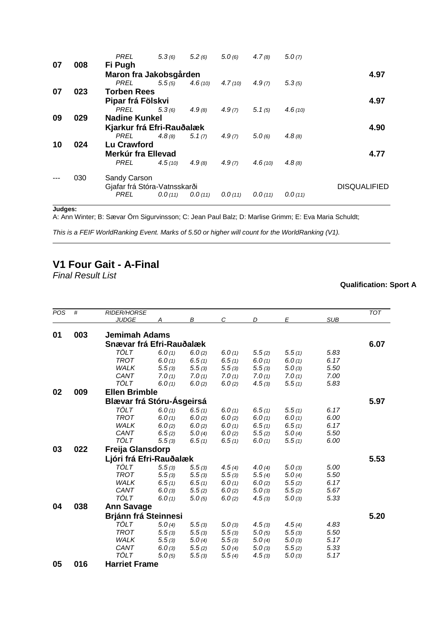|    |     | <b>PREL</b>                  | 5.3(6)  | 5.2(6)          | 5.0(6)  | 4.7(8)  | 5.0(7)  |                     |
|----|-----|------------------------------|---------|-----------------|---------|---------|---------|---------------------|
| 07 | 008 | Fi Pugh                      |         |                 |         |         |         |                     |
|    |     | Maron fra Jakobsgården       |         |                 |         |         |         | 4.97                |
|    |     | PREL                         | 5.5(5)  | <b>4.6</b> (10) | 4.7(10) | 4.9(7)  | 5.3(5)  |                     |
| 07 | 023 | <b>Torben Rees</b>           |         |                 |         |         |         |                     |
|    |     | Pipar frá Fölskvi            | 4.97    |                 |         |         |         |                     |
|    |     | PREL                         | 5.3(6)  | 4.9(8)          | 4.9(7)  | 5.1(5)  | 4.6(10) |                     |
| 09 | 029 | <b>Nadine Kunkel</b>         |         |                 |         |         |         |                     |
|    |     | Kjarkur frá Efri-Rauðalæk    |         |                 |         |         |         | 4.90                |
|    |     | PREL                         | 4.8(8)  | 5.1(7)          | 4.9(7)  | 5.0(6)  | 4.8(8)  |                     |
| 10 | 024 | Lu Crawford                  |         |                 |         |         |         |                     |
|    |     | Merkúr fra Ellevad           |         |                 |         |         |         | 4.77                |
|    |     | PREL                         | 4.5(10) | 4.9(8)          | 4.9(7)  | 4.6(10) | 4.8(8)  |                     |
|    | 030 | Sandy Carson                 |         |                 |         |         |         |                     |
|    |     | Gjafar frá Stóra-Vatnsskarði |         |                 |         |         |         | <b>DISQUALIFIED</b> |
|    |     | PREL                         | 0.0(11) | 0.0(11)         | 0.0(11) | 0.0(11) | 0.0(11) |                     |
|    |     |                              |         |                 |         |         |         |                     |

A: Ann Winter; B: Sævar Örn Sigurvinsson; C: Jean Paul Balz; D: Marlise Grimm; E: Eva Maria Schuldt;

*This is a FEIF WorldRanking Event. Marks of 5.50 or higher will count for the WorldRanking (V1).*

# **V1 Four Gait - A-Final**

*Final Result List*

| POS | #   | <b>RIDER/HORSE</b>          |        |        |        |        |        |            | <b>TOT</b> |
|-----|-----|-----------------------------|--------|--------|--------|--------|--------|------------|------------|
|     |     | <b>JUDGE</b>                | А      | В      | C      | D      | E      | <b>SUB</b> |            |
| 01  | 003 | <b>Jemimah Adams</b>        |        |        |        |        |        |            |            |
|     |     |                             |        |        |        |        |        |            |            |
|     |     | Snævar frá Efri-Rauðalæk    |        |        |        |        |        |            | 6.07       |
|     |     | TÖLT                        | 6.0(1) | 6.0(2) | 6.0(1) | 5.5(2) | 5.5(1) | 5.83       |            |
|     |     | <b>TROT</b>                 | 6.0(1) | 6.5(1) | 6.5(1) | 6.0(1) | 6.0(1) | 6.17       |            |
|     |     | <b>WALK</b>                 | 5.5(3) | 5.5(3) | 5.5(3) | 5.5(3) | 5.0(3) | 5.50       |            |
|     |     | CANT                        | 7.0(1) | 7.0(1) | 7.0(1) | 7.0(1) | 7.0(1) | 7.00       |            |
|     |     | <b>TÖLT</b>                 | 6.0(1) | 6.0(2) | 6.0(2) | 4.5(3) | 5.5(1) | 5.83       |            |
| 02  | 009 | <b>Ellen Brimble</b>        |        |        |        |        |        |            |            |
|     |     | Blævar frá Stóru-Ásgeirsá   |        |        |        |        |        |            | 5.97       |
|     |     | TÖLT                        | 6.0(1) | 6.5(1) | 6.0(1) | 6.5(1) | 5.5(1) | 6.17       |            |
|     |     | <b>TROT</b>                 | 6.0(1) | 6.0(2) | 6.0(2) | 6.0(1) | 6.0(1) | 6.00       |            |
|     |     | <b>WALK</b>                 | 6.0(2) | 6.0(2) | 6.0(1) | 6.5(1) | 6.5(1) | 6.17       |            |
|     |     | CANT                        | 6.5(2) | 5.0(4) | 6.0(2) | 5.5(2) | 5.0(4) | 5.50       |            |
|     |     | <b>TÖLT</b>                 | 5.5(3) | 6.5(1) | 6.5(1) | 6.0(1) | 5.5(1) | 6.00       |            |
| 03  | 022 | Freija Glansdorp            |        |        |        |        |        |            |            |
|     |     | Ljóri frá Efri-Rauðalæk     |        |        |        |        |        |            | 5.53       |
|     |     | <b>TÖLT</b>                 | 5.5(3) | 5.5(3) | 4.5(4) | 4.0(4) | 5.0(3) | 5.00       |            |
|     |     | <b>TROT</b>                 | 5.5(3) | 5.5(3) | 5.5(3) | 5.5(4) | 5.0(4) | 5.50       |            |
|     |     | <b>WALK</b>                 | 6.5(1) | 6.5(1) | 6.0(1) | 6.0(2) | 5.5(2) | 6.17       |            |
|     |     | CANT                        | 6.0(3) | 5.5(2) | 6.0(2) | 5.0(3) | 5.5(2) | 5.67       |            |
|     |     | TÖLT                        | 6.0(1) | 5.0(5) | 6.0(2) | 4.5(3) | 5.0(3) | 5.33       |            |
| 04  | 038 | <b>Ann Savage</b>           |        |        |        |        |        |            |            |
|     |     |                             |        |        |        |        |        |            |            |
|     |     | <b>Brjánn frá Steinnesi</b> |        |        |        |        |        |            | 5.20       |
|     |     | <b>TÖLT</b>                 | 5.0(4) | 5.5(3) | 5.0(3) | 4.5(3) | 4.5(4) | 4.83       |            |
|     |     | <b>TROT</b>                 | 5.5(3) | 5.5(3) | 5.5(3) | 5.0(5) | 5.5(3) | 5.50       |            |
|     |     | <b>WALK</b>                 | 5.5(3) | 5.0(4) | 5.5(3) | 5.0(4) | 5.0(3) | 5.17       |            |
|     |     | CANT                        | 6.0(3) | 5.5(2) | 5.0(4) | 5.0(3) | 5.5(2) | 5.33       |            |
|     |     | <b>TÖLT</b>                 | 5.0(5) | 5.5(3) | 5.5(4) | 4.5(3) | 5.0(3) | 5.17       |            |
| 05  | 016 | <b>Harriet Frame</b>        |        |        |        |        |        |            |            |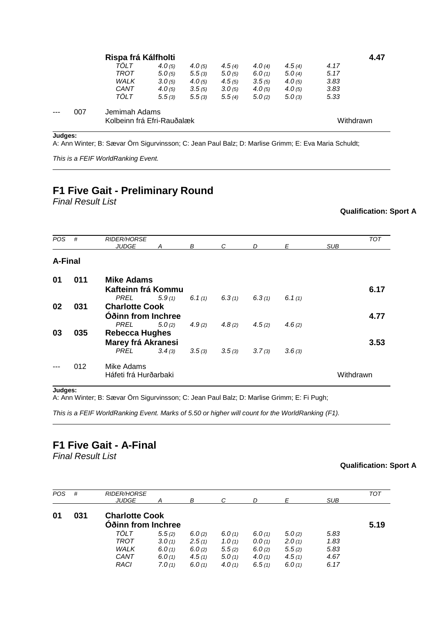|      |     | Rispa frá Kálfholti                         |        |        |        |        |        | 4.47      |  |
|------|-----|---------------------------------------------|--------|--------|--------|--------|--------|-----------|--|
|      |     | TOLT                                        | 4.0(5) | 4.0(5) | 4.5(4) | 4.0(4) | 4.5(4) | 4.17      |  |
|      |     | TROT                                        | 5.0(5) | 5.5(3) | 5.0(5) | 6.0(1) | 5.0(4) | 5.17      |  |
|      |     | <b>WALK</b>                                 | 3.0(5) | 4.0(5) | 4.5(5) | 3.5(5) | 4.0(5) | 3.83      |  |
|      |     | CANT                                        | 4.0(5) | 3.5(5) | 3.0(5) | 4.0(5) | 4.0(5) | 3.83      |  |
|      |     | TÖLT                                        | 5.5(3) | 5.5(3) | 5.5(4) | 5.0(2) | 5.0(3) | 5.33      |  |
| $--$ | 007 | Jemimah Adams<br>Kolbeinn frá Efri-Rauðalæk |        |        |        |        |        | Withdrawn |  |

A: Ann Winter; B: Sævar Örn Sigurvinsson; C: Jean Paul Balz; D: Marlise Grimm; E: Eva Maria Schuldt;

*This is a FEIF WorldRanking Event.* 

## **F1 Five Gait - Preliminary Round**

*Final Result List*

**Qualification: Sport A**

| <b>POS</b> | #   | <b>RIDER/HORSE</b><br><b>JUDGE</b>      | A      | В         | C      | D      | E      | <b>SUB</b> | <b>TOT</b> |
|------------|-----|-----------------------------------------|--------|-----------|--------|--------|--------|------------|------------|
| A-Final    |     |                                         |        |           |        |        |        |            |            |
| 01         | 011 | <b>Mike Adams</b><br>Kafteinn frá Kommu |        |           |        |        |        |            | 6.17       |
|            |     | PREL                                    | 5.9(1) | 6.1 $(1)$ | 6.3(1) | 6.3(1) | 6.1(1) |            |            |
| 02         | 031 | <b>Charlotte Cook</b>                   |        |           |        |        |        |            |            |
|            |     | Óðinn from Inchree                      |        |           |        |        |        |            | 4.77       |
|            |     | <b>PREL</b>                             | 5.0(2) | 4.9(2)    | 4.8(2) | 4.5(2) | 4.6(2) |            |            |
| 03         | 035 | <b>Rebecca Hughes</b>                   |        |           |        |        |        |            |            |
|            |     | Marey frá Akranesi                      |        |           |        |        |        |            | 3.53       |
|            |     | <b>PREL</b>                             | 3.4(3) | 3.5(3)    | 3.5(3) | 3.7(3) | 3.6(3) |            |            |
|            | 012 | Mike Adams<br>Háfeti frá Hurðarbaki     |        |           |        |        |        | Withdrawn  |            |

**Judges:**

A: Ann Winter; B: Sævar Örn Sigurvinsson; C: Jean Paul Balz; D: Marlise Grimm; E: Fi Pugh;

*This is a FEIF WorldRanking Event. Marks of 5.50 or higher will count for the WorldRanking (F1).*

## **F1 Five Gait - A-Final**

*Final Result List*

| <b>POS</b> | #   | <b>RIDER/HORSE</b><br><b>JUDGE</b> |        | B      |        |        | F      | <b>SUB</b> | <b>TOT</b> |
|------------|-----|------------------------------------|--------|--------|--------|--------|--------|------------|------------|
| 01         | 031 | <b>Charlotte Cook</b>              |        |        |        |        |        |            |            |
|            |     | Oðinn from Inchree                 |        |        |        |        |        |            | 5.19       |
|            |     | TÖLT                               | 5.5(2) | 6.0(2) | 6.0(1) | 6.0(1) | 5.0(2) | 5.83       |            |
|            |     | <b>TROT</b>                        | 3.0(1) | 2.5(1) | 1.0(1) | 0.0(1) | 2.0(1) | 1.83       |            |
|            |     | <b>WALK</b>                        | 6.0(1) | 6.0(2) | 5.5(2) | 6.0(2) | 5.5(2) | 5.83       |            |
|            |     | CANT                               | 6.0(1) | 4.5(1) | 5.0(1) | 4.0(1) | 4.5(1) | 4.67       |            |
|            |     | <b>RACI</b>                        | 7.0(1) | 6.0(1) | 4.0(1) | 6.5(1) | 6.0(1) | 6.17       |            |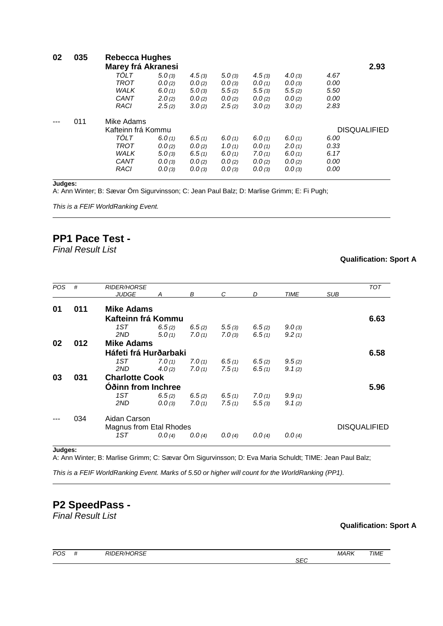|     |             |        |                                                                   |        |        |        |      | 2.93                |  |  |  |
|-----|-------------|--------|-------------------------------------------------------------------|--------|--------|--------|------|---------------------|--|--|--|
|     | TOLT        | 5.0(3) | 4.5(3)                                                            | 5.0(3) | 4.5(3) | 4.0(3) | 4.67 |                     |  |  |  |
|     | TROT        | 0.0(2) | 0.0(2)                                                            | 0.0(3) | 0.0(1) | 0.0(3) | 0.00 |                     |  |  |  |
|     | <b>WALK</b> | 6.0(1) | 5.0(3)                                                            | 5.5(2) | 5.5(3) | 5.5(2) | 5.50 |                     |  |  |  |
|     | CANT        | 2.0(2) | 0.0(2)                                                            | 0.0(2) | 0.0(2) | 0.0(2) | 0.00 |                     |  |  |  |
|     | <b>RACI</b> | 2.5(2) | 3.0(2)                                                            | 2.5(2) | 3.0(2) | 3.0(2) | 2.83 |                     |  |  |  |
| 011 | Mike Adams  |        |                                                                   |        |        |        |      |                     |  |  |  |
|     |             |        |                                                                   |        |        |        |      | <b>DISQUALIFIED</b> |  |  |  |
|     | TÖLT        | 6.0(1) | 6.5(1)                                                            |        | 6.0(1) | 6.0(1) | 6.00 |                     |  |  |  |
|     | <b>TROT</b> | 0.0(2) | 0.0(2)                                                            | 1.0(1) | 0.0(1) | 2.0(1) | 0.33 |                     |  |  |  |
|     | <b>WALK</b> | 5.0(3) | 6.5(1)                                                            | 6.0(1) | 7.0(1) | 6.0(1) | 6.17 |                     |  |  |  |
|     | CANT        | 0.0(3) | 0.0(2)                                                            | 0.0(2) | 0.0(2) | 0.0(2) | 0.00 |                     |  |  |  |
|     | <b>RACI</b> | 0.0(3) | 0.0(3)                                                            | 0.0(3) | 0.0(3) | 0.0(3) | 0.00 |                     |  |  |  |
|     | 035         |        | Rebecca Hughes<br><b>Marey frá Akranesi</b><br>Kafteinn frá Kommu |        | 6.0(1) |        |      |                     |  |  |  |

A: Ann Winter; B: Sævar Örn Sigurvinsson; C: Jean Paul Balz; D: Marlise Grimm; E: Fi Pugh;

*This is a FEIF WorldRanking Event.* 

### **PP1 Pace Test -**

*Final Result List*

### **Qualification: Sport A**

| <b>POS</b> | #                              | <b>RIDER/HORSE</b>    |        |        |           |        |        |     | <b>TOT</b>          |
|------------|--------------------------------|-----------------------|--------|--------|-----------|--------|--------|-----|---------------------|
|            |                                | <b>JUDGE</b>          |        | В      | C         | D      | TIME   | SUB |                     |
|            |                                |                       |        |        |           |        |        |     |                     |
| 01         | 011                            | <b>Mike Adams</b>     |        |        |           |        |        |     |                     |
|            |                                | Kafteinn frá Kommu    |        | 6.63   |           |        |        |     |                     |
|            |                                | 1ST                   | 6.5(2) | 6.5(2) | 5.5(3)    | 6.5(2) | 9.0(3) |     |                     |
|            |                                | 2ND                   | 5.0(1) | 7.0(1) | 7.0(3)    | 6.5(1) | 9.2(1) |     |                     |
| 02         | 012                            | <b>Mike Adams</b>     |        |        |           |        |        |     |                     |
|            |                                | Háfeti frá Hurðarbaki |        |        |           |        |        |     | 6.58                |
|            |                                | 1ST                   | 7.0(1) | 7.0(1) | 6.5(1)    | 6.5(2) | 9.5(2) |     |                     |
|            |                                | 2ND                   | 4.0(2) | 7.0(1) | 7.5(1)    | 6.5(1) | 9.1(2) |     |                     |
| 03         | 031                            | <b>Charlotte Cook</b> |        |        |           |        |        |     |                     |
|            |                                | Oðinn from Inchree    |        |        |           |        |        |     |                     |
|            |                                | 1ST                   | 6.5(2) | 6.5(2) | 6.5 $(1)$ | 7.0(1) | 9.9(1) |     |                     |
|            |                                | 2ND                   | 0.0(3) | 7.0(1) | 7.5(1)    | 5.5(3) | 9.1(2) |     |                     |
|            | 034                            | Aidan Carson          |        |        |           |        |        |     |                     |
|            | <b>Magnus from Etal Rhodes</b> |                       |        |        |           |        |        |     | <b>DISQUALIFIED</b> |
|            |                                | 1ST                   | 0.0(4) | 0.0(4) | 0.0(4)    | 0.0(4) | 0.0(4) |     |                     |
|            |                                |                       |        |        |           |        |        |     |                     |

**Judges:**

A: Ann Winter; B: Marlise Grimm; C: Sævar Örn Sigurvinsson; D: Eva Maria Schuldt; TIME: Jean Paul Balz;

*This is a FEIF WorldRanking Event. Marks of 5.50 or higher will count for the WorldRanking (PP1).*

### **P2 SpeedPass -** *Final Result List*

| POS | <br><b>RIDER/HORSE</b> |                      | <b>MARK</b> | <b>TIME</b> |
|-----|------------------------|----------------------|-------------|-------------|
|     |                        | $\sim$ $\sim$<br>5EC |             |             |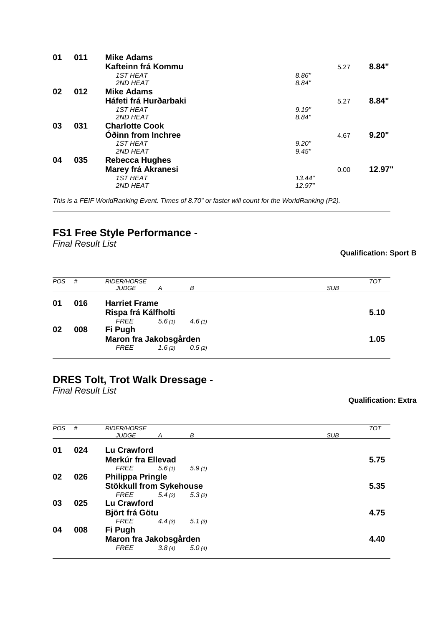| 01 | 011 | <b>Mike Adams</b>     |        |      |        |
|----|-----|-----------------------|--------|------|--------|
|    |     | Kafteinn frá Kommu    |        | 5.27 | 8.84"  |
|    |     | <b>1ST HEAT</b>       | 8.86"  |      |        |
|    |     | 2ND HEAT              | 8.84"  |      |        |
| 02 | 012 | <b>Mike Adams</b>     |        |      |        |
|    |     | Háfeti frá Hurðarbaki |        | 5.27 | 8.84"  |
|    |     | <b>1ST HEAT</b>       | 9.19"  |      |        |
|    |     | 2ND HEAT              | 8.84"  |      |        |
| 03 | 031 | <b>Charlotte Cook</b> |        |      |        |
|    |     | Oðinn from Inchree    |        | 4.67 | 9.20"  |
|    |     | <b>1ST HEAT</b>       | 9.20"  |      |        |
|    |     | 2ND HEAT              | 9.45"  |      |        |
| 04 | 035 | <b>Rebecca Hughes</b> |        |      |        |
|    |     | Marey frá Akranesi    |        | 0.00 | 12.97" |
|    |     | <b>1ST HEAT</b>       | 13.44" |      |        |
|    |     | 2ND HEAT              | 12.97" |      |        |
|    |     |                       |        |      |        |

*This is a FEIF WorldRanking Event. Times of 8.70" or faster will count for the WorldRanking (P2).*

## **FS1 Free Style Performance -**

*Final Result List*

### **Qualification: Sport B**

| <b>POS</b> | #   | <b>RIDER/HORSE</b><br><b>JUDGE</b>          | А      | в      | <b>SUB</b> | TOT  |
|------------|-----|---------------------------------------------|--------|--------|------------|------|
| 01         | 016 | <b>Harriet Frame</b><br>Rispa frá Kálfholti |        |        |            | 5.10 |
|            |     | FREE                                        | 5.6(1) | 4.6(1) |            |      |
| 02         | 008 | Fi Pugh                                     |        |        |            |      |
|            |     | Maron fra Jakobsgården                      |        |        |            | 1.05 |
|            |     | <i>FREE</i>                                 | 1.6(2) | 0.5(2) |            |      |

### **DRES Tolt, Trot Walk Dressage -**

*Final Result List*

| <b>POS</b> | #   | <b>RIDER/HORSE</b>             |        |        |            | <b>TOT</b> |
|------------|-----|--------------------------------|--------|--------|------------|------------|
|            |     | <b>JUDGE</b><br>A              |        | B      | <b>SUB</b> |            |
|            |     |                                |        |        |            |            |
| 01         | 024 | Lu Crawford                    |        |        |            |            |
|            |     | Merkúr fra Ellevad             |        |        |            | 5.75       |
|            |     | FREE                           | 5.6(1) | 5.9(1) |            |            |
| 02         | 026 | <b>Philippa Pringle</b>        |        |        |            |            |
|            |     | <b>Stökkull from Sykehouse</b> |        |        |            | 5.35       |
|            |     | FREE                           | 5.4(2) | 5.3(2) |            |            |
| 03         | 025 | <b>Lu Crawford</b>             |        |        |            |            |
|            |     | Björt frá Götu                 |        |        |            | 4.75       |
|            |     | FREE                           | 4.4(3) | 5.1(3) |            |            |
| 04         | 008 | Fi Pugh                        |        |        |            |            |
|            |     | Maron fra Jakobsgården         |        |        |            | 4.40       |
|            |     | <b>FREE</b>                    | 3.8(4) | 5.0(4) |            |            |
|            |     |                                |        |        |            |            |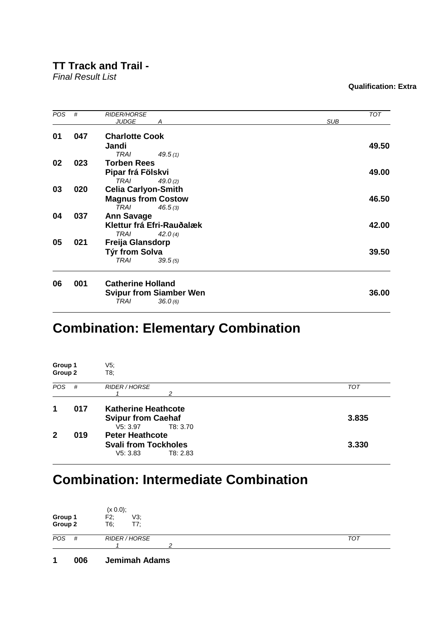### **TT Track and Trail -**

*Final Result List*

### **Qualification: Extra**

| POS | #   | <b>RIDER/HORSE</b><br><b>JUDGE</b><br>А | <b>TOT</b><br><b>SUB</b> |
|-----|-----|-----------------------------------------|--------------------------|
|     |     |                                         |                          |
| 01  | 047 | <b>Charlotte Cook</b>                   |                          |
|     |     | Jandi                                   | 49.50                    |
|     |     | TRAI<br>49.5(1)                         |                          |
| 02  | 023 | <b>Torben Rees</b>                      |                          |
|     |     | Pipar frá Fölskvi                       | 49.00                    |
|     |     | <b>TRAI</b><br>49.0 $(2)$               |                          |
| 03  | 020 | <b>Celia Carlyon-Smith</b>              |                          |
|     |     | <b>Magnus from Costow</b>               | 46.50                    |
|     |     | TRAI<br>46.5(3)                         |                          |
| 04  | 037 | <b>Ann Savage</b>                       |                          |
|     |     | Klettur frá Efri-Rauðalæk               | 42.00                    |
|     |     | <b>TRAI</b><br>42.0(4)                  |                          |
| 05  | 021 | Freija Glansdorp                        |                          |
|     |     | Týr from Solva                          | 39.50                    |
|     |     | <b>TRAI</b><br>39.5(5)                  |                          |
| 06  | 001 | <b>Catherine Holland</b>                |                          |
|     |     | <b>Svipur from Siamber Wen</b>          | 36.00                    |
|     |     | <b>TRAI</b><br>36.0(6)                  |                          |
|     |     |                                         |                          |

# **Combination: Elementary Combination**

| Group 1<br>Group 2 |     | V5;<br>T8;                                                                      |            |  |  |  |
|--------------------|-----|---------------------------------------------------------------------------------|------------|--|--|--|
| <b>POS</b>         | #   | RIDER / HORSE<br>2                                                              | <b>TOT</b> |  |  |  |
| 1                  | 017 | <b>Katherine Heathcote</b><br><b>Svipur from Caehaf</b><br>V5: 3.97<br>T8: 3.70 | 3.835      |  |  |  |
| 2                  | 019 | <b>Peter Heathcote</b><br><b>Svali from Tockholes</b><br>V5: 3.83<br>T8: 2.83   | 3.330      |  |  |  |

# **Combination: Intermediate Combination**

| Group 1<br>Group 2 | (x 0.0);<br>V3;<br>F2;<br>T7:<br>T6; |            |
|--------------------|--------------------------------------|------------|
| POS<br>#           | <b>RIDER / HORSE</b>                 | <b>TOT</b> |
|                    | ⌒                                    |            |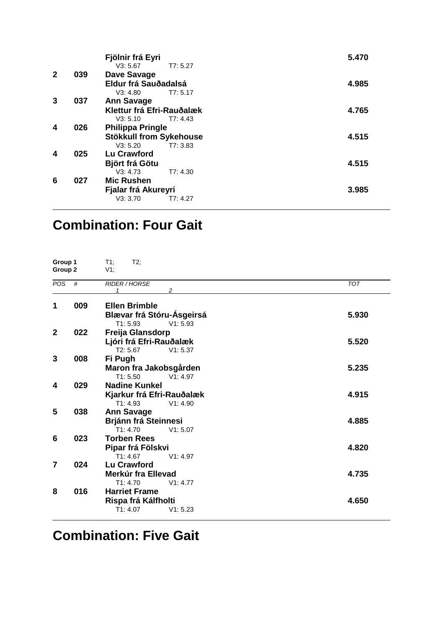|     | Fjölnir frá Eyri<br>V3: 5.67 | 5.470                                                                               |
|-----|------------------------------|-------------------------------------------------------------------------------------|
| 039 | Dave Savage                  |                                                                                     |
|     | Eldur frá Sauðadalsá         | 4.985                                                                               |
|     | V3: 4.80<br>T7: 5.17         |                                                                                     |
| 037 | <b>Ann Savage</b>            |                                                                                     |
|     | Klettur frá Efri-Rauðalæk    | 4.765                                                                               |
|     | V3: 5.10<br>T7: 4.43         |                                                                                     |
| 026 | <b>Philippa Pringle</b>      |                                                                                     |
|     |                              | 4.515                                                                               |
|     | T7:3.83<br>V3: 5.20          |                                                                                     |
| 025 | Lu Crawford                  |                                                                                     |
|     |                              | 4.515                                                                               |
|     | V3: 4.73<br>T7: 4.30         |                                                                                     |
| 027 | <b>Mic Rushen</b>            |                                                                                     |
|     |                              | 3.985                                                                               |
|     | V3: 3.70<br>T7: 4.27         |                                                                                     |
|     |                              | T7: 5.27<br>Stökkull from Sykehouse<br><b>Björt frá Götu</b><br>Fjalar frá Akureyri |

# **Combination: Four Gait**

| Group 1<br>Group 2 |     | T1;<br>$T2$ ;<br>$V1$ ;      |            |  |
|--------------------|-----|------------------------------|------------|--|
| $\overline{POS}$   | #   | <b>RIDER/HORSE</b><br>2<br>1 | <b>TOT</b> |  |
| 1                  | 009 | <b>Ellen Brimble</b>         |            |  |
|                    |     | Blævar frá Stóru-Ásgeirsá    | 5.930      |  |
|                    |     | V1: 5.93<br>T1: 5.93         |            |  |
| $\mathbf{2}$       | 022 | Freija Glansdorp             |            |  |
|                    |     | Ljóri frá Efri-Rauðalæk      | 5.520      |  |
|                    |     | T2: 5.67<br>V1: 5.37         |            |  |
| 3                  | 008 | Fi Pugh                      |            |  |
|                    |     | Maron fra Jakobsgården       | 5.235      |  |
|                    |     | T1: 5.50<br>V1: 4.97         |            |  |
| 4                  | 029 | <b>Nadine Kunkel</b>         |            |  |
|                    |     | Kjarkur frá Efri-Rauðalæk    | 4.915      |  |
|                    |     | T1: 4.93<br>V1: 4.90         |            |  |
| 5                  | 038 | <b>Ann Savage</b>            |            |  |
|                    |     | Brjánn frá Steinnesi         | 4.885      |  |
|                    |     | T1: 4.70<br>V1: 5.07         |            |  |
| 6                  | 023 | <b>Torben Rees</b>           |            |  |
|                    |     | Pipar frá Fölskvi            | 4.820      |  |
|                    |     | T1: 4.67<br>V1: 4.97         |            |  |
| $\overline{7}$     | 024 | <b>Lu Crawford</b>           |            |  |
|                    |     | Merkúr fra Ellevad           | 4.735      |  |
|                    |     | T1: 4.70<br>V1: 4.77         |            |  |
| 8                  | 016 | <b>Harriet Frame</b>         |            |  |
|                    |     | Rispa frá Kálfholti          | 4.650      |  |
|                    |     | T1: 4.07<br>V1: 5.23         |            |  |
|                    |     |                              |            |  |

**Combination: Five Gait**